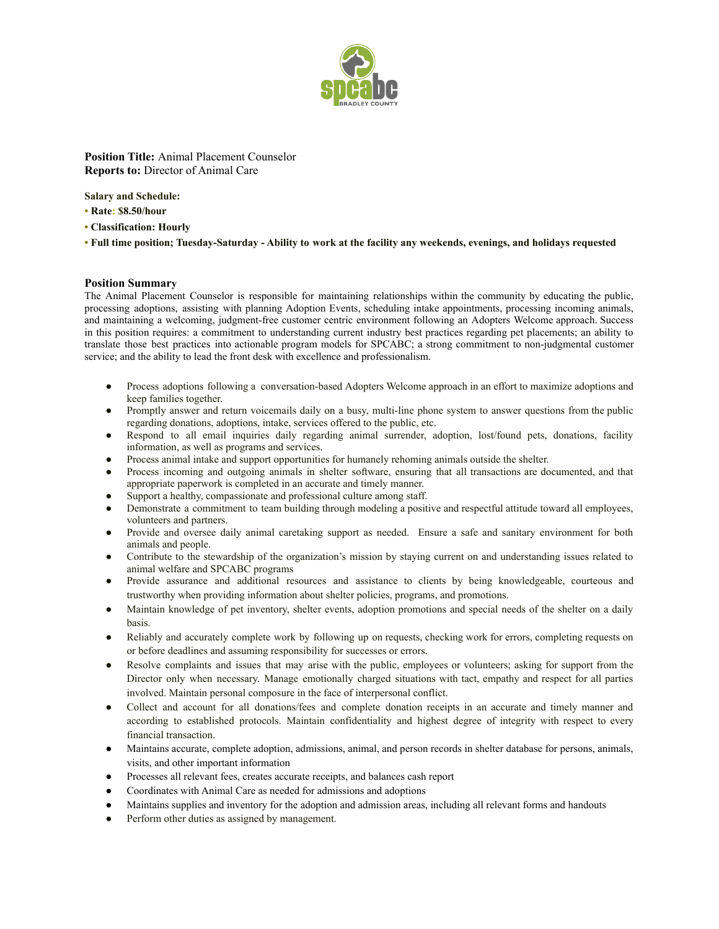

**Position Title:** Animal Placement Counselor **Reports to:** Director of Animal Care

**Salary and Schedule:**

- **• Rate: \$8.50/hour**
- **• Classification: Hourly**

**• Full time position; Tuesday-Saturday - Ability to work at the facility any weekends, evenings, and holidays requested**

## **Position Summary**

The Animal Placement Counselor is responsible for maintaining relationships within the community by educating the public, processing adoptions, assisting with planning Adoption Events, scheduling intake appointments, processing incoming animals, and maintaining a welcoming, judgment-free customer centric environment following an Adopters Welcome approach. Success in this position requires: a commitment to understanding current industry best practices regarding pet placements; an ability to translate those best practices into actionable program models for SPCABC; a strong commitment to non-judgmental customer service; and the ability to lead the front desk with excellence and professionalism.

- Process adoptions following a conversation-based Adopters Welcome approach in an effort to maximize adoptions and keep families together.
- Promptly answer and return voicemails daily on a busy, multi-line phone system to answer questions from the public regarding donations, adoptions, intake, services offered to the public, etc.
- Respond to all email inquiries daily regarding animal surrender, adoption, lost/found pets, donations, facility information, as well as programs and services.
- Process animal intake and support opportunities for humanely rehoming animals outside the shelter.
- Process incoming and outgoing animals in shelter software, ensuring that all transactions are documented, and that appropriate paperwork is completed in an accurate and timely manner.
- Support a healthy, compassionate and professional culture among staff.
- Demonstrate a commitment to team building through modeling a positive and respectful attitude toward all employees, volunteers and partners.
- Provide and oversee daily animal caretaking support as needed. Ensure a safe and sanitary environment for both animals and people.
- Contribute to the stewardship of the organization's mission by staying current on and understanding issues related to animal welfare and SPCABC programs
- Provide assurance and additional resources and assistance to clients by being knowledgeable, courteous and trustworthy when providing information about shelter policies, programs, and promotions.
- Maintain knowledge of pet inventory, shelter events, adoption promotions and special needs of the shelter on a daily basis.
- Reliably and accurately complete work by following up on requests, checking work for errors, completing requests on or before deadlines and assuming responsibility for successes or errors.
- Resolve complaints and issues that may arise with the public, employees or volunteers; asking for support from the Director only when necessary. Manage emotionally charged situations with tact, empathy and respect for all parties involved. Maintain personal composure in the face of interpersonal conflict.
- Collect and account for all donations/fees and complete donation receipts in an accurate and timely manner and according to established protocols. Maintain confidentiality and highest degree of integrity with respect to every financial transaction.
- Maintains accurate, complete adoption, admissions, animal, and person records in shelter database for persons, animals, visits, and other important information
- Processes all relevant fees, creates accurate receipts, and balances cash report
- Coordinates with Animal Care as needed for admissions and adoptions
- Maintains supplies and inventory for the adoption and admission areas, including all relevant forms and handouts
- Perform other duties as assigned by management.